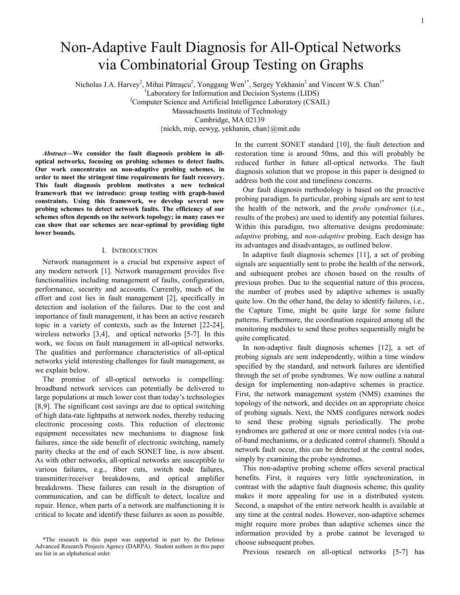# Non-Adaptive Fault Diagnosis for All-Optical Networks via Combinatorial Group Testing on Graphs

Nicholas J.A. Harvey<sup>2</sup>, Mihai Pătrașcu<sup>2</sup>, Yonggang Wen<sup>1\*</sup>, Sergey Yekhanin<sup>2</sup> and Vincent W.S. Chan<sup>1\*</sup>

<sup>1</sup>Laboratory for Information and Decision Systems (LIDS)

 $2^2$ Computer Science and Artificial Intelligence Laboratory (CSAIL)

Massachusetts Institute of Technology

Cambridge, MA 02139

{nickh, mip, eewyg, yekhanin, chan}@mit.edu

Abstract—We consider the fault diagnosis problem in alloptical networks, focusing on probing schemes to detect faults. Our work concentrates on non-adaptive probing schemes, in order to meet the stringent time requirements for fault recovery. This fault diagnosis problem motivates a new technical framework that we introduce: group testing with graph-based constraints. Using this framework, we develop several new probing schemes to detect network faults. The efficiency of our schemes often depends on the network topology; in many cases we can show that our schemes are near-optimal by providing tight lower bounds.

#### I. INTRODUCTION

Network management is a crucial but expensive aspect of any modern network [1]. Network management provides five functionalities including management of faults, configuration, performance, security and accounts. Currently, much of the effort and cost lies in fault management [2], specifically in detection and isolation of the failures. Due to the cost and importance of fault management, it has been an active research topic in a variety of contexts, such as the Internet [22-24], wireless networks [3,4], and optical networks [5-7]. In this work, we focus on fault management in all-optical networks. The qualities and performance characteristics of all-optical networks yield interesting challenges for fault management, as we explain below.

The promise of all-optical networks is compelling: broadband network services can potentially be delivered to large populations at much lower cost than today's technologies [8,9]. The significant cost savings are due to optical switching of high data-rate lightpaths at network nodes, thereby reducing electronic processing costs. This reduction of electronic equipment necessitates new mechanisms to diagnose link failures, since the side benefit of electronic switching, namely parity checks at the end of each SONET line, is now absent. As with other networks, all-optical networks are susceptible to various failures, e.g., fiber cuts, switch node failures, transmitter/receiver breakdowns, and optical amplifier breakdowns. These failures can result in the disruption of communication, and can be difficult to detect, localize and repair. Hence, when parts of a network are malfunctioning it is critical to locate and identify these failures as soon as possible.

In the current SONET standard [10], the fault detection and restoration time is around 50ms, and this will probably be reduced further in future all-optical networks. The fault diagnosis solution that we propose in this paper is designed to address both the cost and timeliness concerns.

Our fault diagnosis methodology is based on the proactive probing paradigm. In particular, probing signals are sent to test the health of the network, and the probe syndromes (i.e., results of the probes) are used to identify any potential failures. Within this paradigm, two alternative designs predominate: adaptive probing, and non-adaptive probing. Each design has its advantages and disadvantages, as outlined below.

In adaptive fault diagnosis schemes [11], a set of probing signals are sequentially sent to probe the health of the network, and subsequent probes are chosen based on the results of previous probes. Due to the sequential nature of this process, the number of probes used by adaptive schemes is usually quite low. On the other hand, the delay to identify failures, i.e., the Capture Time, might be quite large for some failure patterns. Furthermore, the coordination required among all the monitoring modules to send these probes sequentially might be quite complicated.

In non-adaptive fault diagnosis schemes [12], a set of probing signals are sent independently, within a time window specified by the standard, and network failures are identified through the set of probe syndromes. We now outline a natural design for implementing non-adaptive schemes in practice. First, the network management system (NMS) examines the topology of the network, and decides on an appropriate choice of probing signals. Next, the NMS configures network nodes to send these probing signals periodically. The probe syndromes are gathered at one or more central nodes (via outof-band mechanisms, or a dedicated control channel). Should a network fault occur, this can be detected at the central nodes, simply by examining the probe syndromes.

This non-adaptive probing scheme offers several practical benefits. First, it requires very little synchronization, in contrast with the adaptive fault diagnosis scheme; this quality makes it more appealing for use in a distributed system. Second, a snapshot of the entire network health is available at any time at the central nodes. However, non-adaptive schemes might require more probes than adaptive schemes since the information provided by a probe cannot be leveraged to choose subsequent probes.

Previous research on all-optical networks [5-7] has

<sup>\*</sup>The research in this paper was supported in part by the Defense Advanced Research Projects Agency (DARPA). Student authors in this paper are list in an alphabetical order.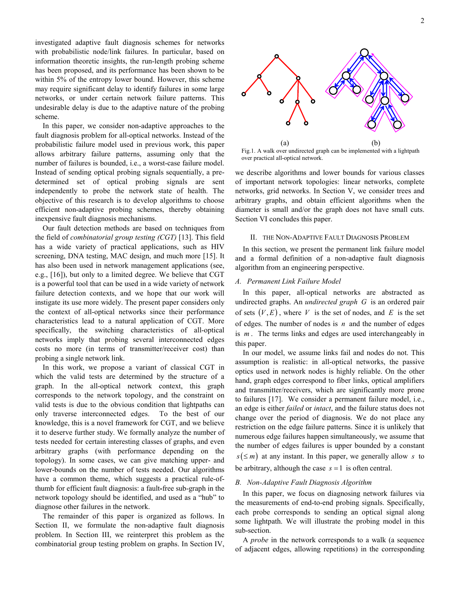investigated adaptive fault diagnosis schemes for networks with probabilistic node/link failures. In particular, based on information theoretic insights, the run-length probing scheme has been proposed, and its performance has been shown to be within 5% of the entropy lower bound. However, this scheme may require significant delay to identify failures in some large networks, or under certain network failure patterns. This undesirable delay is due to the adaptive nature of the probing scheme.

In this paper, we consider non-adaptive approaches to the fault diagnosis problem for all-optical networks. Instead of the probabilistic failure model used in previous work, this paper allows arbitrary failure patterns, assuming only that the number of failures is bounded, i.e., a worst-case failure model. Instead of sending optical probing signals sequentially, a predetermined set of optical probing signals are sent independently to probe the network state of health. The objective of this research is to develop algorithms to choose efficient non-adaptive probing schemes, thereby obtaining inexpensive fault diagnosis mechanisms.

Our fault detection methods are based on techniques from the field of combinatorial group testing (CGT) [13]. This field has a wide variety of practical applications, such as HIV screening, DNA testing, MAC design, and much more [15]. It has also been used in network management applications (see, e.g., [16]), but only to a limited degree. We believe that CGT is a powerful tool that can be used in a wide variety of network failure detection contexts, and we hope that our work will instigate its use more widely. The present paper considers only the context of all-optical networks since their performance characteristics lead to a natural application of CGT. More specifically, the switching characteristics of all-optical networks imply that probing several interconnected edges costs no more (in terms of transmitter/receiver cost) than probing a single network link.

In this work, we propose a variant of classical CGT in which the valid tests are determined by the structure of a graph. In the all-optical network context, this graph corresponds to the network topology, and the constraint on valid tests is due to the obvious condition that lightpaths can only traverse interconnected edges. To the best of our knowledge, this is a novel framework for CGT, and we believe it to deserve further study. We formally analyze the number of tests needed for certain interesting classes of graphs, and even arbitrary graphs (with performance depending on the topology). In some cases, we can give matching upper- and lower-bounds on the number of tests needed. Our algorithms have a common theme, which suggests a practical rule-ofthumb for efficient fault diagnosis: a fault-free sub-graph in the network topology should be identified, and used as a "hub" to diagnose other failures in the network.

The remainder of this paper is organized as follows. In Section II, we formulate the non-adaptive fault diagnosis problem. In Section III, we reinterpret this problem as the combinatorial group testing problem on graphs. In Section IV,



Fig.1. A walk over undirected graph can be implemented with a lightpath over practical all-optical network.

we describe algorithms and lower bounds for various classes of important network topologies: linear networks, complete networks, grid networks. In Section V, we consider trees and arbitrary graphs, and obtain efficient algorithms when the diameter is small and/or the graph does not have small cuts. Section VI concludes this paper.

#### II. THE NON-ADAPTIVE FAULT DIAGNOSIS PROBLEM

In this section, we present the permanent link failure model and a formal definition of a non-adaptive fault diagnosis algorithm from an engineering perspective.

#### A. Permanent Link Failure Model

In this paper, all-optical networks are abstracted as undirected graphs. An *undirected graph G* is an ordered pair of sets  $(V, E)$ , where V is the set of nodes, and E is the set of edges. The number of nodes is  $n$  and the number of edges is  $m$ . The terms links and edges are used interchangeably in this paper.

In our model, we assume links fail and nodes do not. This assumption is realistic: in all-optical networks, the passive optics used in network nodes is highly reliable. On the other hand, graph edges correspond to fiber links, optical amplifiers and transmitter/receivers, which are significantly more prone to failures [17]. We consider a permanent failure model, i.e., an edge is either failed or intact, and the failure status does not change over the period of diagnosis. We do not place any restriction on the edge failure patterns. Since it is unlikely that numerous edge failures happen simultaneously, we assume that the number of edges failures is upper bounded by a constant  $s \leq m$ ) at any instant. In this paper, we generally allow s to be arbitrary, although the case  $s = 1$  is often central.

## B. Non-Adaptive Fault Diagnosis Algorithm

In this paper, we focus on diagnosing network failures via the measurements of end-to-end probing signals. Specifically, each probe corresponds to sending an optical signal along some lightpath. We will illustrate the probing model in this sub-section.

A probe in the network corresponds to a walk (a sequence of adjacent edges, allowing repetitions) in the corresponding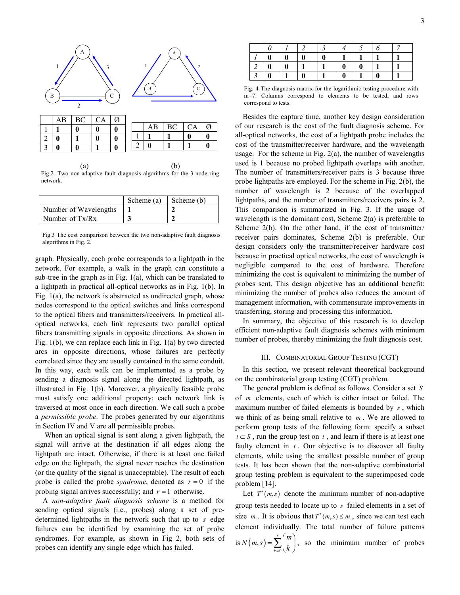

Fig.2. Two non-adaptive fault diagnosis algorithms for the 3-node ring network.

|                       | Scheme (a) | Scheme (b) |
|-----------------------|------------|------------|
| Number of Wavelengths |            |            |
| Number of $Tx/Rx$     |            |            |

Fig.3 The cost comparison between the two non-adaptive fault diagnosis algorithms in Fig. 2.

graph. Physically, each probe corresponds to a lightpath in the network. For example, a walk in the graph can constitute a sub-tree in the graph as in Fig. 1(a), which can be translated to a lightpath in practical all-optical networks as in Fig. 1(b). In Fig. 1(a), the network is abstracted as undirected graph, whose nodes correspond to the optical switches and links correspond to the optical fibers and transmitters/receivers. In practical alloptical networks, each link represents two parallel optical fibers transmitting signals in opposite directions. As shown in Fig. 1(b), we can replace each link in Fig. 1(a) by two directed arcs in opposite directions, whose failures are perfectly correlated since they are usually contained in the same conduit. In this way, each walk can be implemented as a probe by sending a diagnosis signal along the directed lightpath, as illustrated in Fig. 1(b). Moreover, a physically feasible probe must satisfy one additional property: each network link is traversed at most once in each direction. We call such a probe a permissible probe. The probes generated by our algorithms in Section IV and V are all permissible probes.

 When an optical signal is sent along a given lightpath, the signal will arrive at the destination if all edges along the lightpath are intact. Otherwise, if there is at least one failed edge on the lightpath, the signal never reaches the destination (or the quality of the signal is unacceptable). The result of each probe is called the probe *syndrome*, denoted as  $r = 0$  if the probing signal arrives successfully; and  $r = 1$  otherwise.

A non-adaptive fault diagnosis scheme is a method for sending optical signals (i.e., probes) along a set of predetermined lightpaths in the network such that up to s edge failures can be identified by examining the set of probe syndromes. For example, as shown in Fig 2, both sets of probes can identify any single edge which has failed.

|   |  | Ω |   |  |  |
|---|--|---|---|--|--|
|   |  |   |   |  |  |
| 0 |  |   | v |  |  |

Fig. 4 The diagnosis matrix for the logarithmic testing procedure with m=7. Columns correspond to elements to be tested, and rows correspond to tests.

Besides the capture time, another key design consideration of our research is the cost of the fault diagnosis scheme. For all-optical networks, the cost of a lightpath probe includes the cost of the transmitter/receiver hardware, and the wavelength usage. For the scheme in Fig. 2(a), the number of wavelengths used is 1 because no probed lightpath overlaps with another. The number of transmitters/receiver pairs is 3 because three probe lightpaths are employed. For the scheme in Fig. 2(b), the number of wavelength is 2 because of the overlapped lightpaths, and the number of transmitters/receivers pairs is 2. This comparison is summarized in Fig. 3. If the usage of wavelength is the dominant cost, Scheme 2(a) is preferable to Scheme 2(b). On the other hand, if the cost of transmitter/ receiver pairs dominates, Scheme 2(b) is preferable. Our design considers only the transmitter/receiver hardware cost because in practical optical networks, the cost of wavelength is negligible compared to the cost of hardware. Therefore minimizing the cost is equivalent to minimizing the number of probes sent. This design objective has an additional benefit: minimizing the number of probes also reduces the amount of management information, with commensurate improvements in transferring, storing and processing this information.

In summary, the objective of this research is to develop efficient non-adaptive fault diagnosis schemes with minimum number of probes, thereby minimizing the fault diagnosis cost.

#### III. COMBINATORIAL GROUP TESTING (CGT)

In this section, we present relevant theoretical background on the combinatorial group testing (CGT) problem.

The general problem is defined as follows. Consider a set S of m elements, each of which is either intact or failed. The maximum number of failed elements is bounded by  $s$ , which we think of as being small relative to  $m$ . We are allowed to perform group tests of the following form: specify a subset  $t \subset S$ , run the group test on t, and learn if there is at least one faulty element in  $t$ . Our objective is to discover all faulty elements, while using the smallest possible number of group tests. It has been shown that the non-adaptive combinatorial group testing problem is equivalent to the superimposed code problem [14].

Let  $T^*(m, s)$  denote the minimum number of non-adaptive group tests needed to locate up to s failed elements in a set of size *m*. It is obvious that  $T^*(m, s) \le m$ , since we can test each element individually. The total number of failure patterns is  $N(m, s) = \sum_{k=0}^{n}$  $(s) = \sum_{s=1}^{s}$ k  $N(m,s) = \sum_{k=0}^{s} {m \choose k}$  $=\sum_{k=0}^{s} {m \choose k}$ , so the minimum number of probes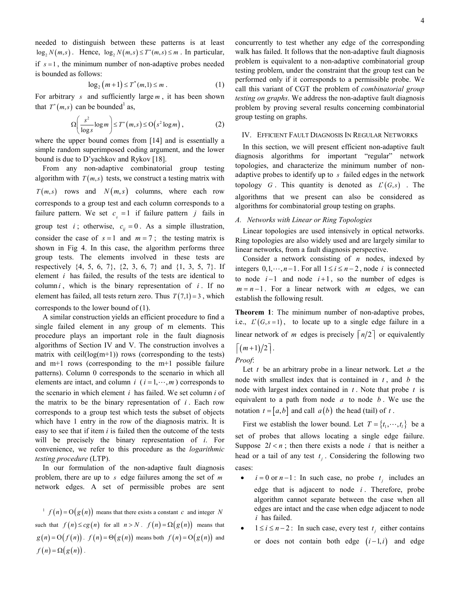needed to distinguish between these patterns is at least  $log_2 N(m, s)$ . Hence,  $log_2 N(m, s) \le T^*(m, s) \le m$ . In particular, if  $s = 1$ , the minimum number of non-adaptive probes needed is bounded as follows:

$$
\log_2(m+1) \le T^*(m,1) \le m . \tag{1}
$$

For arbitrary s and sufficiently large  $m$ , it has been shown that  $T^*(m, s)$  can be bounded<sup>1</sup> as,

$$
\Omega\left(\frac{s^2}{\log s}\log m\right) \le T^*\left(m, s\right) \le \mathcal{O}\left(s^2 \log m\right),\tag{2}
$$

where the upper bound comes from [14] and is essentially a simple random superimposed coding argument, and the lower bound is due to D'yachkov and Rykov [18].

From any non-adaptive combinatorial group testing algorithm with  $T(m, s)$  tests, we construct a testing matrix with  $T(m, s)$  rows and  $N(m, s)$  columns, where each row corresponds to a group test and each column corresponds to a failure pattern. We set  $c_{ij} = 1$  if failure pattern j fails in group test *i*; otherwise,  $c_{ij} = 0$ . As a simple illustration, consider the case of  $s = 1$  and  $m = 7$ ; the testing matrix is shown in Fig 4. In this case, the algorithm performs three group tests. The elements involved in these tests are respectively  $\{4, 5, 6, 7\}$ ,  $\{2, 3, 6, 7\}$  and  $\{1, 3, 5, 7\}$ . If element i has failed, the results of the tests are identical to column  $i$ , which is the binary representation of  $i$ . If no element has failed, all tests return zero. Thus  $T(7,1) = 3$ , which corresponds to the lower bound of (1).

A similar construction yields an efficient procedure to find a single failed element in any group of m elements. This procedure plays an important role in the fault diagnosis algorithms of Section IV and V. The construction involves a matrix with ceil $(log(m+1))$  rows (corresponding to the tests) and m+1 rows (corresponding to the m+1 possible failure patterns). Column 0 corresponds to the scenario in which all elements are intact, and column i  $(i = 1, \dots, m)$  corresponds to the scenario in which element  $i$  has failed. We set column  $i$  of the matrix to be the binary representation of  $i$ . Each row corresponds to a group test which tests the subset of objects which have 1 entry in the row of the diagnosis matrix. It is easy to see that if item  $i$  is failed then the outcome of the tests will be precisely the binary representation of *i*. For convenience, we refer to this procedure as the logarithmic testing procedure (LTP).

In our formulation of the non-adaptive fault diagnosis problem, there are up to  $s$  edge failures among the set of  $m$ network edges. A set of permissible probes are sent

 $f(n) = O(g(n))$  means that there exists a constant c and integer N such that  $f(n) \le cg(n)$  for all  $n > N$ .  $f(n) = \Omega(g(n))$  means that  $g(n) = O(f(n))$ .  $f(n) = O(g(n))$  means both  $f(n) = O(g(n))$  and  $f(n) = \Omega(g(n))$ .

concurrently to test whether any edge of the corresponding walk has failed. It follows that the non-adaptive fault diagnosis problem is equivalent to a non-adaptive combinatorial group testing problem, under the constraint that the group test can be performed only if it corresponds to a permissible probe. We call this variant of CGT the problem of combinatorial group testing on graphs. We address the non-adaptive fault diagnosis problem by proving several results concerning combinatorial group testing on graphs.

#### IV. EFFICIENT FAULT DIAGNOSIS IN REGULAR NETWORKS

In this section, we will present efficient non-adaptive fault diagnosis algorithms for important "regular" network topologies, and characterize the minimum number of nonadaptive probes to identify up to s failed edges in the network topology G. This quantity is denoted as  $L^*(G,s)$ . The algorithms that we present can also be considered as algorithms for combinatorial group testing on graphs.

#### A. Networks with Linear or Ring Topologies

Linear topologies are used intensively in optical networks. Ring topologies are also widely used and are largely similar to linear networks, from a fault diagnosis perspective.

Consider a network consisting of  $n$  nodes, indexed by integers  $0, 1, \dots, n-1$ . For all  $1 \le i \le n-2$ , node i is connected to node  $i-1$  and node  $i+1$ , so the number of edges is  $m = n - 1$ . For a linear network with m edges, we can establish the following result.

Theorem 1: The minimum number of non-adaptive probes, i.e.,  $L^*(G, s = 1)$ , to locate up to a single edge failure in a linear network of m edges is precisely  $\lceil n/2 \rceil$  or equivalently  $\lceil (m+1)/2 \rceil$ .

## Proof:

Let  $t$  be an arbitrary probe in a linear network. Let  $a$  the node with smallest index that is contained in  $t$ , and  $b$  the node with largest index contained in  $t$ . Note that probe  $t$  is equivalent to a path from node  $a$  to node  $b$ . We use the notation  $t = [a, b]$  and call  $a(b)$  the head (tail) of t.

First we establish the lower bound. Let  $T = \{t_1, \dots, t_l\}$  be a set of probes that allows locating a single edge failure. Suppose  $2l < n$ ; then there exists a node i that is neither a head or a tail of any test  $t_j$ . Considering the following two cases:

- $i = 0$  or  $n-1$ : In such case, no probe  $t_j$  includes an edge that is adjacent to node  $i$ . Therefore, probe algorithm cannot separate between the case when all edges are intact and the case when edge adjacent to node i has failed.
- $1 \le i \le n-2$ : In such case, every test  $t_j$  either contains or does not contain both edge  $(i-1, i)$  and edge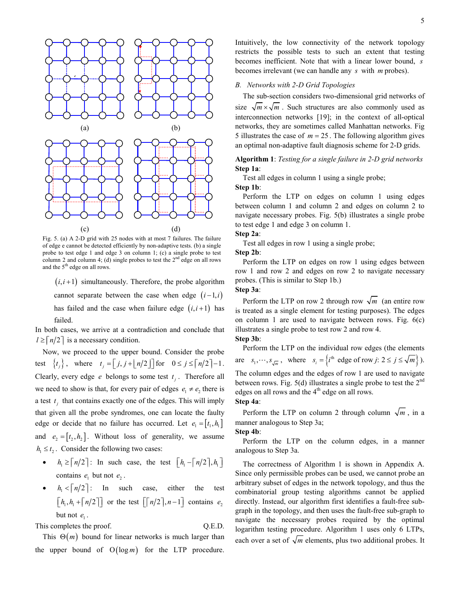

Fig. 5. (a) A 2-D grid with 25 nodes with at most 7 failures. The failure of edge e cannot be detected efficiently by non-adaptive tests. (b) a single probe to test edge 1 and edge 3 on column 1; (c) a single probe to test column 2 and column 4; (d) single probes to test the  $2<sup>nd</sup>$  edge on all rows and the 5<sup>th</sup> edge on all rows.

 $(i, i+1)$  simultaneously. Therefore, the probe algorithm cannot separate between the case when edge  $(i-1, i)$ has failed and the case when failure edge  $(i, i+1)$  has failed.

In both cases, we arrive at a contradiction and conclude that  $l \geq \lceil n/2 \rceil$  is a necessary condition.

Now, we proceed to the upper bound. Consider the probe test  $\{t_j\}$ , where  $t_j = \lfloor j, j + \lfloor n/2 \rfloor \rfloor$  for  $0 \le j \le \lceil n/2 \rceil - 1$ . Clearly, every edge *e* belongs to some test  $t_j$ . Therefore all we need to show is that, for every pair of edges  $e_1 \neq e_2$  there is a test  $t_j$  that contains exactly one of the edges. This will imply that given all the probe syndromes, one can locate the faulty edge or decide that no failure has occurred. Let  $e_1 = [t_1, h_1]$ and  $e_2 = [t_1, h_2]$ . Without loss of generality, we assume  $h_1 \le t_2$ . Consider the following two cases:

- $h_1 \ge \lceil n/2 \rceil$ : In such case, the test  $\lfloor h_1 \lceil n/2 \rceil, h_1 \rfloor$ contains  $e_1$  but not  $e_2$ .
- $h_1 < \lceil n/2 \rceil$ : In such case, either the test  $\lfloor h_1, h_1 + \lceil n/2 \rceil \rfloor$  or the test  $\lfloor \lceil n/2 \rceil, n-1 \rfloor$  contains  $e_2$ but not  $e_1$ .

This completes the proof.  $Q.E.D.$ 

This  $\Theta(m)$  bound for linear networks is much larger than the upper bound of  $O(log m)$  for the LTP procedure. Intuitively, the low connectivity of the network topology restricts the possible tests to such an extent that testing becomes inefficient. Note that with a linear lower bound, s becomes irrelevant (we can handle any s with m probes).

#### B. Networks with 2-D Grid Topologies

The sub-section considers two-dimensional grid networks of size  $\sqrt{m} \times \sqrt{m}$ . Such structures are also commonly used as interconnection networks [19]; in the context of all-optical networks, they are sometimes called Manhattan networks. Fig 5 illustrates the case of  $m = 25$ . The following algorithm gives an optimal non-adaptive fault diagnosis scheme for 2-D grids.

## Algorithm 1: Testing for a single failure in 2-D grid networks Step 1a:

 Test all edges in column 1 using a single probe; Step 1b:

 Perform the LTP on edges on column 1 using edges between column 1 and column 2 and edges on column 2 to navigate necessary probes. Fig. 5(b) illustrates a single probe to test edge 1 and edge 3 on column 1.

## Step 2a:

Test all edges in row 1 using a single probe;

Step 2b:

Perform the LTP on edges on row 1 using edges between row 1 and row 2 and edges on row 2 to navigate necessary probes. (This is similar to Step 1b.)

## Step 3a:

Perform the LTP on row 2 through row  $\sqrt{m}$  (an entire row is treated as a single element for testing purposes). The edges on column 1 are used to navigate between rows. Fig.  $6(c)$ illustrates a single probe to test row 2 and row 4.

Step 3b:

Perform the LTP on the individual row edges (the elements are  $s_1, \dots, s_{\sqrt{m}}$ , where  $s_i = \left\{ i^{\text{th}} \text{ edge of row } j: 2 \le j \le \sqrt{m} \right\}$ ).

The column edges and the edges of row 1 are used to navigate between rows. Fig.  $5(d)$  illustrates a single probe to test the  $2<sup>nd</sup>$ edges on all rows and the  $4<sup>th</sup>$  edge on all rows.

## Step 4a:

Perform the LTP on column 2 through column  $\sqrt{m}$ , in a manner analogous to Step 3a;

#### Step 4b:

Perform the LTP on the column edges, in a manner analogous to Step 3a.

The correctness of Algorithm 1 is shown in Appendix A. Since only permissible probes can be used, we cannot probe an arbitrary subset of edges in the network topology, and thus the combinatorial group testing algorithms cannot be applied directly. Instead, our algorithm first identifies a fault-free subgraph in the topology, and then uses the fault-free sub-graph to navigate the necessary probes required by the optimal logarithm testing procedure. Algorithm 1 uses only 6 LTPs, each over a set of  $\sqrt{m}$  elements, plus two additional probes. It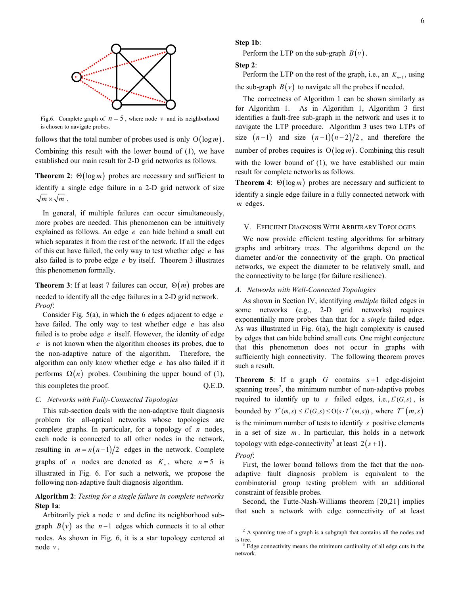

Fig.6. Complete graph of  $n = 5$ , where node v and its neighborhood is chosen to navigate probes.

follows that the total number of probes used is only  $O(log m)$ . Combining this result with the lower bound of (1), we have established our main result for 2-D grid networks as follows.

**Theorem 2:**  $\Theta(\log m)$  probes are necessary and sufficient to identify a single edge failure in a 2-D grid network of size  $\sqrt{m} \times \sqrt{m}$ .

In general, if multiple failures can occur simultaneously, more probes are needed. This phenomenon can be intuitively explained as follows. An edge  $e$  can hide behind a small cut which separates it from the rest of the network. If all the edges of this cut have failed, the only way to test whether edge  $e$  has also failed is to probe edge  $e$  by itself. Theorem 3 illustrates this phenomenon formally.

**Theorem 3**: If at least 7 failures can occur,  $\Theta(m)$  probes are needed to identify all the edge failures in a 2-D grid network. Proof:

Consider Fig.  $5(a)$ , in which the 6 edges adjacent to edge e have failed. The only way to test whether edge  $e$  has also failed is to probe edge e itself. However, the identity of edge e is not known when the algorithm chooses its probes, due to the non-adaptive nature of the algorithm. Therefore, the algorithm can only know whether edge  $e$  has also failed if it performs  $\Omega(n)$  probes. Combining the upper bound of (1), this completes the proof. Q.E.D.

#### C. Networks with Fully-Connected Topologies

This sub-section deals with the non-adaptive fault diagnosis problem for all-optical networks whose topologies are complete graphs. In particular, for a topology of  $n$  nodes, each node is connected to all other nodes in the network, resulting in  $m = n(n-1)/2$  edges in the network. Complete graphs of *n* nodes are denoted as  $K_n$ , where  $n = 5$  is illustrated in Fig. 6. For such a network, we propose the following non-adaptive fault diagnosis algorithm.

## Algorithm 2: Testing for a single failure in complete networks Step 1a:

Arbitrarily pick a node  $v$  and define its neighborhood subgraph  $B(v)$  as the n-1 edges which connects it to al other nodes. As shown in Fig. 6, it is a star topology centered at node  $\nu$ .

#### Step 1b:

Perform the LTP on the sub-graph  $B(v)$ .

```
Step 2:
```
Perform the LTP on the rest of the graph, i.e., an  $K_{n-1}$ , using the sub-graph  $B(v)$  to navigate all the probes if needed.

The correctness of Algorithm 1 can be shown similarly as for Algorithm 1. As in Algorithm 1, Algorithm 3 first identifies a fault-free sub-graph in the network and uses it to navigate the LTP procedure. Algorithm 3 uses two LTPs of size  $(n-1)$  and size  $(n-1)(n-2)/2$ , and therefore the number of probes requires is  $O(log m)$ . Combining this result with the lower bound of (1), we have established our main result for complete networks as follows.

**Theorem 4:**  $\Theta(\log m)$  probes are necessary and sufficient to identify a single edge failure in a fully connected network with m edges.

## V. EFFICIENT DIAGNOSIS WITH ARBITRARY TOPOLOGIES

We now provide efficient testing algorithms for arbitrary graphs and arbitrary trees. The algorithms depend on the diameter and/or the connectivity of the graph. On practical networks, we expect the diameter to be relatively small, and the connectivity to be large (for failure resilience).

## A. Networks with Well-Connected Topologies

As shown in Section IV, identifying multiple failed edges in some networks (e.g., 2-D grid networks) requires exponentially more probes than that for a *single* failed edge. As was illustrated in Fig. 6(a), the high complexity is caused by edges that can hide behind small cuts. One might conjecture that this phenomenon does not occur in graphs with sufficiently high connectivity. The following theorem proves such a result.

**Theorem 5:** If a graph  $G$  contains  $s+1$  edge-disjoint spanning trees<sup>2</sup>, the minimum number of non-adaptive probes required to identify up to s failed edges, i.e.,  $L^*(G,s)$ , is bounded by  $T^*(m,s) \leq L^*(G,s) \leq O(s \cdot T^*(m,s))$ , where  $T^*(m,s)$ is the minimum number of tests to identify s positive elements in a set of size  $m$ . In particular, this holds in a network topology with edge-connectivity<sup>3</sup> at least  $2(s+1)$ .

#### Proof:

First, the lower bound follows from the fact that the nonadaptive fault diagnosis problem is equivalent to the combinatorial group testing problem with an additional constraint of feasible probes.

Second, the Tutte-Nash-Williams theorem [20,21] implies that such a network with edge connectivity of at least

 $2^2$  A spanning tree of a graph is a subgraph that contains all the nodes and is tree.

 $3$  Edge connectivity means the minimum cardinality of all edge cuts in the network.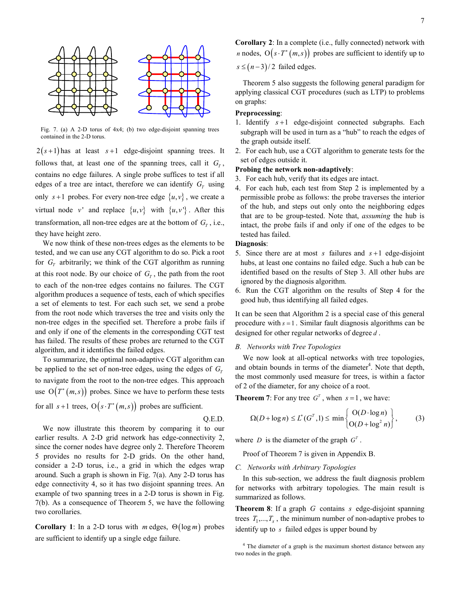

Fig. 7. (a) A 2-D torus of 4x4; (b) two edge-disjoint spanning trees contained in the 2-D torus.

 $2(s+1)$  has at least  $s+1$  edge-disjoint spanning trees. It follows that, at least one of the spanning trees, call it  $G_T$ , contains no edge failures. A single probe suffices to test if all edges of a tree are intact, therefore we can identify  $G_T$  using only  $s+1$  probes. For every non-tree edge  $\{u, v\}$ , we create a virtual node v' and replace  $\{u, v\}$  with  $\{u, v'\}$ . After this transformation, all non-tree edges are at the bottom of  $G_T$ , i.e., they have height zero.

We now think of these non-trees edges as the elements to be tested, and we can use any CGT algorithm to do so. Pick a root for  $G_T$  arbitrarily; we think of the CGT algorithm as running at this root node. By our choice of  $G_T$ , the path from the root to each of the non-tree edges contains no failures. The CGT algorithm produces a sequence of tests, each of which specifies a set of elements to test. For each such set, we send a probe from the root node which traverses the tree and visits only the non-tree edges in the specified set. Therefore a probe fails if and only if one of the elements in the corresponding CGT test has failed. The results of these probes are returned to the CGT algorithm, and it identifies the failed edges.

To summarize, the optimal non-adaptive CGT algorithm can be applied to the set of non-tree edges, using the edges of  $G<sub>T</sub>$ to navigate from the root to the non-tree edges. This approach use  $O(T^*(m, s))$  probes. Since we have to perform these tests for all  $s+1$  trees,  $O(s \cdot T^*(m, s))$  probes are sufficient.

Q.E.D.

We now illustrate this theorem by comparing it to our earlier results. A 2-D grid network has edge-connectivity 2, since the corner nodes have degree only 2. Therefore Theorem 5 provides no results for 2-D grids. On the other hand, consider a 2-D torus, i.e., a grid in which the edges wrap around. Such a graph is shown in Fig. 7(a). Any 2-D torus has edge connectivity 4, so it has two disjoint spanning trees. An example of two spanning trees in a 2-D torus is shown in Fig. 7(b). As a consequence of Theorem 5, we have the following two corollaries.

**Corollary 1**: In a 2-D torus with m edges,  $\Theta(\log m)$  probes are sufficient to identify up a single edge failure.

Corollary 2: In a complete (i.e., fully connected) network with *n* nodes,  $O(s \cdot T^*(m, s))$  probes are sufficient to identify up to  $s \leq (n-3)/2$  failed edges.

Theorem 5 also suggests the following general paradigm for applying classical CGT procedures (such as LTP) to problems on graphs:

#### Preprocessing:

- 1. Identify  $s+1$  edge-disjoint connected subgraphs. Each subgraph will be used in turn as a "hub" to reach the edges of the graph outside itself.
- 2. For each hub, use a CGT algorithm to generate tests for the set of edges outside it.

#### Probing the network non-adaptively:

- 3. For each hub, verify that its edges are intact.
- 4. For each hub, each test from Step 2 is implemented by a permissible probe as follows: the probe traverses the interior of the hub, and steps out only onto the neighboring edges that are to be group-tested. Note that, assuming the hub is intact, the probe fails if and only if one of the edges to be tested has failed.

#### Diagnosis:

- 5. Since there are at most s failures and  $s+1$  edge-disjoint hubs, at least one contains no failed edge. Such a hub can be identified based on the results of Step 3. All other hubs are ignored by the diagnosis algorithm.
- 6. Run the CGT algorithm on the results of Step 4 for the good hub, thus identifying all failed edges.

It can be seen that Algorithm 2 is a special case of this general procedure with  $s = 1$ . Similar fault diagnosis algorithms can be designed for other regular networks of degree d.

#### B. Networks with Tree Topologies

We now look at all-optical networks with tree topologies, and obtain bounds in terms of the diameter<sup>4</sup>. Note that depth, the most commonly used measure for trees, is within a factor of 2 of the diameter, for any choice of a root.

**Theorem 7:** For any tree  $G<sup>T</sup>$ , when  $s = 1$ , we have:

$$
\Omega(D + \log n) \le L^*(G^T, 1) \le \min\left\{\frac{\mathcal{O}(D \cdot \log n)}{\mathcal{O}(D + \log^2 n)}\right\},\tag{3}
$$

where D is the diameter of the graph  $G<sup>T</sup>$ .

Proof of Theorem 7 is given in Appendix B.

#### C. Networks with Arbitrary Topologies

In this sub-section, we address the fault diagnosis problem for networks with arbitrary topologies. The main result is summarized as follows.

**Theorem 8:** If a graph  $G$  contains  $s$  edge-disjoint spanning trees  $T_1, ..., T_s$ , the minimum number of non-adaptive probes to identify up to  $s$  failed edges is upper bound by

<sup>&</sup>lt;sup>4</sup> The diameter of a graph is the maximum shortest distance between any two nodes in the graph.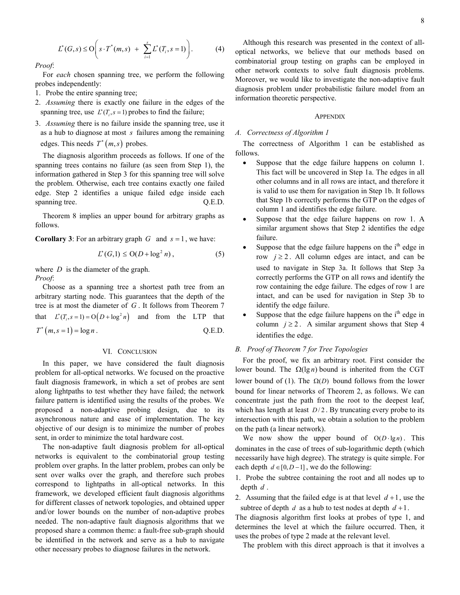$$
L^*(G, s) \le O\bigg(s \cdot T^*(m, s) + \sum_{i=1}^s L^*(T_i, s = 1)\bigg). \tag{4}
$$

Proof:

For each chosen spanning tree, we perform the following probes independently:

- 1. Probe the entire spanning tree;
- 2. Assuming there is exactly one failure in the edges of the spanning tree, use  $L^*(T_i, s = 1)$  probes to find the failure;
- 3. Assuming there is no failure inside the spanning tree, use it as a hub to diagnose at most s failures among the remaining edges. This needs  $T^*(m, s)$  probes.

The diagnosis algorithm proceeds as follows. If one of the spanning trees contains no failure (as seen from Step 1), the information gathered in Step 3 for this spanning tree will solve the problem. Otherwise, each tree contains exactly one failed edge. Step 2 identifies a unique failed edge inside each spanning tree.  $Q.E.D.$ 

Theorem 8 implies an upper bound for arbitrary graphs as follows.

**Corollary 3**: For an arbitrary graph  $G$  and  $s = 1$ , we have:

$$
L^*(G,1) \leq \mathrm{O}(D + \log^2 n) \,,\tag{5}
$$

where  $D$  is the diameter of the graph. Proof:

Choose as a spanning tree a shortest path tree from an arbitrary starting node. This guarantees that the depth of the tree is at most the diameter of G . It follows from Theorem 7 that  $L^*(T_i, s = 1) = O(D + \log^2 n)$  and from the LTP that  $T^*(m, s = 1) = \log n$ . Q.E.D.

#### VI. CONCLUSION

In this paper, we have considered the fault diagnosis problem for all-optical networks. We focused on the proactive fault diagnosis framework, in which a set of probes are sent along lightpaths to test whether they have failed; the network failure pattern is identified using the results of the probes. We proposed a non-adaptive probing design, due to its asynchronous nature and ease of implementation. The key objective of our design is to minimize the number of probes sent, in order to minimize the total hardware cost.

The non-adaptive fault diagnosis problem for all-optical networks is equivalent to the combinatorial group testing problem over graphs. In the latter problem, probes can only be sent over walks over the graph, and therefore such probes correspond to lightpaths in all-optical networks. In this framework, we developed efficient fault diagnosis algorithms for different classes of network topologies, and obtained upper and/or lower bounds on the number of non-adaptive probes needed. The non-adaptive fault diagnosis algorithms that we proposed share a common theme: a fault-free sub-graph should be identified in the network and serve as a hub to navigate other necessary probes to diagnose failures in the network.

Although this research was presented in the context of alloptical networks, we believe that our methods based on combinatorial group testing on graphs can be employed in other network contexts to solve fault diagnosis problems. Moreover, we would like to investigate the non-adaptive fault diagnosis problem under probabilistic failure model from an information theoretic perspective.

#### **APPENDIX**

#### A. Correctness of Algorithm 1

The correctness of Algorithm 1 can be established as follows.

- Suppose that the edge failure happens on column 1. This fact will be uncovered in Step 1a. The edges in all other columns and in all rows are intact, and therefore it is valid to use them for navigation in Step 1b. It follows that Step 1b correctly performs the GTP on the edges of column 1 and identifies the edge failure.
- Suppose that the edge failure happens on row 1. A similar argument shows that Step 2 identifies the edge failure.
- Suppose that the edge failure happens on the  $i<sup>th</sup>$  edge in row  $j \ge 2$ . All column edges are intact, and can be used to navigate in Step 3a. It follows that Step 3a correctly performs the GTP on all rows and identify the row containing the edge failure. The edges of row 1 are intact, and can be used for navigation in Step 3b to identify the edge failure.
- Suppose that the edge failure happens on the  $i<sup>th</sup>$  edge in column  $j \ge 2$ . A similar argument shows that Step 4 identifies the edge.

## B. Proof of Theorem 7 for Tree Topologies

For the proof, we fix an arbitrary root. First consider the lower bound. The  $Ω(lg n)$  bound is inherited from the CGT lower bound of (1). The  $\Omega(D)$  bound follows from the lower bound for linear networks of Theorem 2, as follows. We can concentrate just the path from the root to the deepest leaf, which has length at least  $D/2$ . By truncating every probe to its intersection with this path, we obtain a solution to the problem on the path (a linear network).

We now show the upper bound of  $O(D \cdot \lg n)$ . This dominates in the case of trees of sub-logarithmic depth (which necessarily have high degree). The strategy is quite simple. For each depth  $d \in [0, D - 1]$ , we do the following:

- 1. Probe the subtree containing the root and all nodes up to depth  $d$ .
- 2. Assuming that the failed edge is at that level  $d+1$ , use the subtree of depth d as a hub to test nodes at depth  $d+1$ .

The diagnosis algorithm first looks at probes of type 1, and determines the level at which the failure occurred. Then, it uses the probes of type 2 made at the relevant level.

The problem with this direct approach is that it involves a